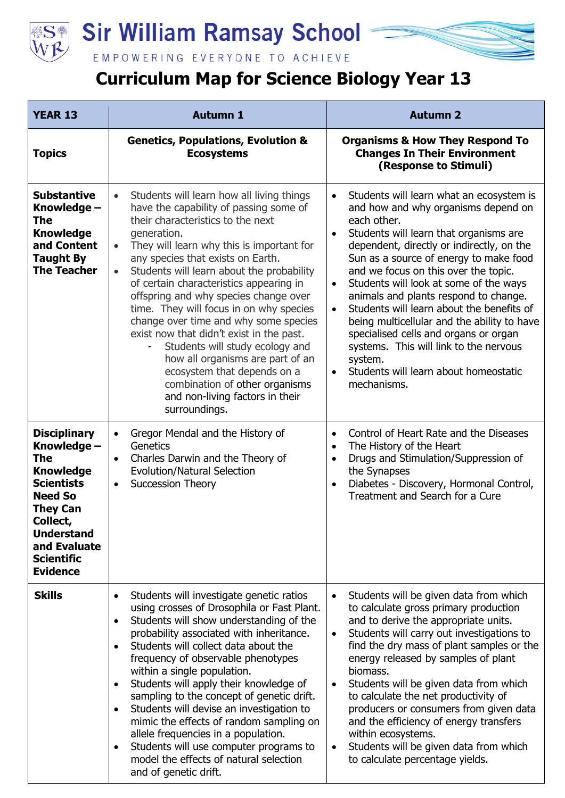

## **Sir William Ramsay School**

EMPOWERING EVERYONE TO ACHIEVE

## **Curriculum Map for Science Biology Year 13**

| <b>YEAR 13</b>                                                                                                                                                                                                   | <b>Autumn 1</b>                                                                                                                                                                                                                                                                                                                                                                                                                                                                                                                                                                                                                                                                                                               | <b>Autumn 2</b>                                                                                                                                                                                                                                                                                                                                                                                                                                                                                                                                                                                                                                                  |
|------------------------------------------------------------------------------------------------------------------------------------------------------------------------------------------------------------------|-------------------------------------------------------------------------------------------------------------------------------------------------------------------------------------------------------------------------------------------------------------------------------------------------------------------------------------------------------------------------------------------------------------------------------------------------------------------------------------------------------------------------------------------------------------------------------------------------------------------------------------------------------------------------------------------------------------------------------|------------------------------------------------------------------------------------------------------------------------------------------------------------------------------------------------------------------------------------------------------------------------------------------------------------------------------------------------------------------------------------------------------------------------------------------------------------------------------------------------------------------------------------------------------------------------------------------------------------------------------------------------------------------|
| <b>Topics</b>                                                                                                                                                                                                    | <b>Genetics, Populations, Evolution &amp;</b><br><b>Ecosystems</b>                                                                                                                                                                                                                                                                                                                                                                                                                                                                                                                                                                                                                                                            | <b>Organisms &amp; How They Respond To</b><br><b>Changes In Their Environment</b><br>(Response to Stimuli)                                                                                                                                                                                                                                                                                                                                                                                                                                                                                                                                                       |
| <b>Substantive</b><br>Knowledge -<br>The<br><b>Knowledge</b><br>and Content<br><b>Taught By</b><br><b>The Teacher</b>                                                                                            | Students will learn how all living things<br>$\bullet$<br>have the capability of passing some of<br>their characteristics to the next<br>generation.<br>They will learn why this is important for<br>$\bullet$<br>any species that exists on Earth.<br>Students will learn about the probability<br>$\bullet$<br>of certain characteristics appearing in<br>offspring and why species change over<br>time. They will focus in on why species<br>change over time and why some species<br>exist now that didn't exist in the past.<br>Students will study ecology and<br>how all organisms are part of an<br>ecosystem that depends on a<br>combination of other organisms<br>and non-living factors in their<br>surroundings. | Students will learn what an ecosystem is<br>and how and why organisms depend on<br>each other.<br>Students will learn that organisms are<br>$\bullet$<br>dependent, directly or indirectly, on the<br>Sun as a source of energy to make food<br>and we focus on this over the topic.<br>Students will look at some of the ways<br>$\bullet$<br>animals and plants respond to change.<br>Students will learn about the benefits of<br>$\bullet$<br>being multicellular and the ability to have<br>specialised cells and organs or organ<br>systems. This will link to the nervous<br>system.<br>Students will learn about homeostatic<br>$\bullet$<br>mechanisms. |
| <b>Disciplinary</b><br>Knowledge -<br>The<br><b>Knowledge</b><br><b>Scientists</b><br><b>Need So</b><br><b>They Can</b><br>Collect,<br><b>Understand</b><br>and Evaluate<br><b>Scientific</b><br><b>Evidence</b> | Gregor Mendal and the History of<br>$\bullet$<br>Genetics<br>Charles Darwin and the Theory of<br>$\bullet$<br><b>Evolution/Natural Selection</b><br><b>Succession Theory</b><br>$\bullet$                                                                                                                                                                                                                                                                                                                                                                                                                                                                                                                                     | Control of Heart Rate and the Diseases<br>$\bullet$<br>The History of the Heart<br>$\bullet$<br>Drugs and Stimulation/Suppression of<br>$\bullet$<br>the Synapses<br>Diabetes - Discovery, Hormonal Control,<br>$\bullet$<br>Treatment and Search for a Cure                                                                                                                                                                                                                                                                                                                                                                                                     |
| <b>Skills</b>                                                                                                                                                                                                    | Students will investigate genetic ratios<br>$\bullet$<br>using crosses of Drosophila or Fast Plant.<br>Students will show understanding of the<br>$\bullet$<br>probability associated with inheritance.<br>Students will collect data about the<br>frequency of observable phenotypes<br>within a single population.<br>Students will apply their knowledge of<br>sampling to the concept of genetic drift.<br>Students will devise an investigation to<br>$\bullet$<br>mimic the effects of random sampling on<br>allele frequencies in a population.<br>Students will use computer programs to<br>model the effects of natural selection<br>and of genetic drift.                                                           | Students will be given data from which<br>$\bullet$<br>to calculate gross primary production<br>and to derive the appropriate units.<br>Students will carry out investigations to<br>$\bullet$<br>find the dry mass of plant samples or the<br>energy released by samples of plant<br>biomass.<br>Students will be given data from which<br>$\bullet$<br>to calculate the net productivity of<br>producers or consumers from given data<br>and the efficiency of energy transfers<br>within ecosystems.<br>Students will be given data from which<br>to calculate percentage yields.                                                                             |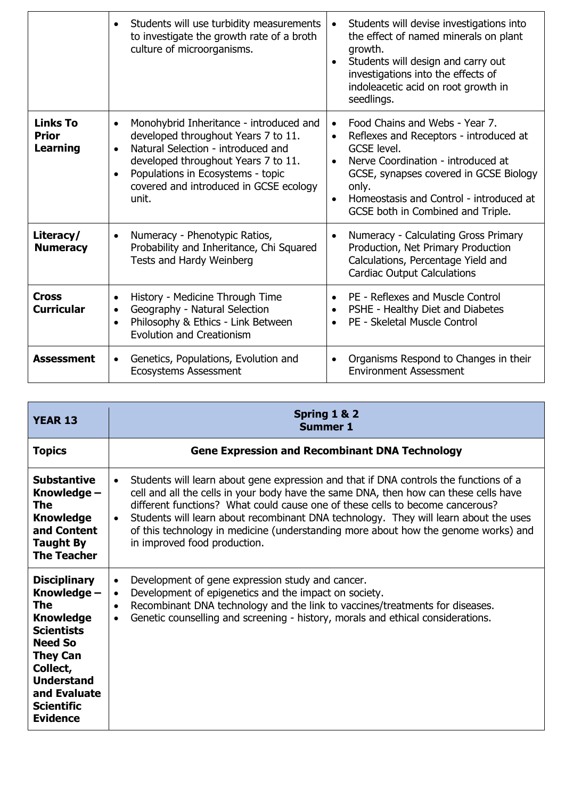|                                                    | Students will use turbidity measurements<br>$\bullet$<br>to investigate the growth rate of a broth<br>culture of microorganisms.                                                                                                                                              | Students will devise investigations into<br>$\bullet$<br>the effect of named minerals on plant<br>growth.<br>Students will design and carry out<br>$\bullet$<br>investigations into the effects of<br>indoleacetic acid on root growth in<br>seedlings.                                                              |
|----------------------------------------------------|-------------------------------------------------------------------------------------------------------------------------------------------------------------------------------------------------------------------------------------------------------------------------------|----------------------------------------------------------------------------------------------------------------------------------------------------------------------------------------------------------------------------------------------------------------------------------------------------------------------|
| <b>Links To</b><br><b>Prior</b><br><b>Learning</b> | Monohybrid Inheritance - introduced and<br>$\bullet$<br>developed throughout Years 7 to 11.<br>Natural Selection - introduced and<br>$\bullet$<br>developed throughout Years 7 to 11.<br>Populations in Ecosystems - topic<br>covered and introduced in GCSE ecology<br>unit. | Food Chains and Webs - Year 7.<br>$\bullet$<br>Reflexes and Receptors - introduced at<br>$\bullet$<br>GCSE level.<br>Nerve Coordination - introduced at<br>$\bullet$<br>GCSE, synapses covered in GCSE Biology<br>only.<br>Homeostasis and Control - introduced at<br>$\bullet$<br>GCSE both in Combined and Triple. |
| Literacy/<br><b>Numeracy</b>                       | Numeracy - Phenotypic Ratios,<br>$\bullet$<br>Probability and Inheritance, Chi Squared<br>Tests and Hardy Weinberg                                                                                                                                                            | Numeracy - Calculating Gross Primary<br>$\bullet$<br>Production, Net Primary Production<br>Calculations, Percentage Yield and<br><b>Cardiac Output Calculations</b>                                                                                                                                                  |
| <b>Cross</b><br><b>Curricular</b>                  | History - Medicine Through Time<br>$\bullet$<br>Geography - Natural Selection<br>$\bullet$<br>Philosophy & Ethics - Link Between<br>$\bullet$<br><b>Evolution and Creationism</b>                                                                                             | PE - Reflexes and Muscle Control<br>$\bullet$<br>PSHE - Healthy Diet and Diabetes<br>$\bullet$<br>PE - Skeletal Muscle Control<br>$\bullet$                                                                                                                                                                          |
| <b>Assessment</b>                                  | Genetics, Populations, Evolution and<br>$\bullet$<br><b>Ecosystems Assessment</b>                                                                                                                                                                                             | Organisms Respond to Changes in their<br>$\bullet$<br><b>Environment Assessment</b>                                                                                                                                                                                                                                  |

| <b>YEAR 13</b>                                                                                                                                                                                                          | Spring 1 & 2<br><b>Summer 1</b>                                                                                                                                                                                                                                                                                                                                                                                                                                                                        |
|-------------------------------------------------------------------------------------------------------------------------------------------------------------------------------------------------------------------------|--------------------------------------------------------------------------------------------------------------------------------------------------------------------------------------------------------------------------------------------------------------------------------------------------------------------------------------------------------------------------------------------------------------------------------------------------------------------------------------------------------|
| <b>Topics</b>                                                                                                                                                                                                           | <b>Gene Expression and Recombinant DNA Technology</b>                                                                                                                                                                                                                                                                                                                                                                                                                                                  |
| <b>Substantive</b><br>Knowledge -<br>The<br><b>Knowledge</b><br>and Content<br><b>Taught By</b><br><b>The Teacher</b>                                                                                                   | Students will learn about gene expression and that if DNA controls the functions of a<br>$\bullet$<br>cell and all the cells in your body have the same DNA, then how can these cells have<br>different functions? What could cause one of these cells to become cancerous?<br>Students will learn about recombinant DNA technology. They will learn about the uses<br>$\bullet$<br>of this technology in medicine (understanding more about how the genome works) and<br>in improved food production. |
| <b>Disciplinary</b><br>Knowledge -<br><b>The</b><br><b>Knowledge</b><br><b>Scientists</b><br><b>Need So</b><br><b>They Can</b><br>Collect,<br><b>Understand</b><br>and Evaluate<br><b>Scientific</b><br><b>Evidence</b> | Development of gene expression study and cancer.<br>$\bullet$<br>Development of epigenetics and the impact on society.<br>$\bullet$<br>Recombinant DNA technology and the link to vaccines/treatments for diseases.<br>$\bullet$<br>Genetic counselling and screening - history, morals and ethical considerations.                                                                                                                                                                                    |